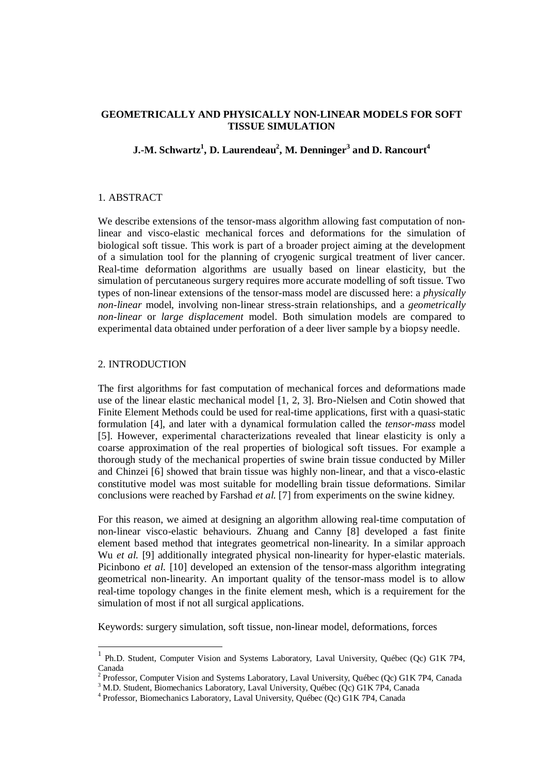## **GEOMETRICALLY AND PHYSICALLY NON-LINEAR MODELS FOR SOFT TISSUE SIMULATION**

# **J.-M. Schwartz<sup>1</sup> , D. Laurendeau<sup>2</sup> , M. Denninger<sup>3</sup> and D. Rancourt<sup>4</sup>**

#### 1. ABSTRACT

We describe extensions of the tensor-mass algorithm allowing fast computation of nonlinear and visco-elastic mechanical forces and deformations for the simulation of biological soft tissue. This work is part of a broader project aiming at the development of a simulation tool for the planning of cryogenic surgical treatment of liver cancer. Real-time deformation algorithms are usually based on linear elasticity, but the simulation of percutaneous surgery requires more accurate modelling of soft tissue. Two types of non-linear extensions of the tensor-mass model are discussed here: a *physically non-linear* model, involving non-linear stress-strain relationships, and a *geometrically non-linear* or *large displacement* model. Both simulation models are compared to experimental data obtained under perforation of a deer liver sample by a biopsy needle.

## 2. INTRODUCTION

The first algorithms for fast computation of mechanical forces and deformations made use of the linear elastic mechanical model [1, 2, 3]. Bro-Nielsen and Cotin showed that Finite Element Methods could be used for real-time applications, first with a quasi-static formulation [4], and later with a dynamical formulation called the *tensor-mass* model [5]. However, experimental characterizations revealed that linear elasticity is only a coarse approximation of the real properties of biological soft tissues. For example a thorough study of the mechanical properties of swine brain tissue conducted by Miller and Chinzei [6] showed that brain tissue was highly non-linear, and that a visco-elastic constitutive model was most suitable for modelling brain tissue deformations. Similar conclusions were reached by Farshad *et al.* [7] from experiments on the swine kidney.

For this reason, we aimed at designing an algorithm allowing real-time computation of non-linear visco-elastic behaviours. Zhuang and Canny [8] developed a fast finite element based method that integrates geometrical non-linearity. In a similar approach Wu *et al.* [9] additionally integrated physical non-linearity for hyper-elastic materials. Picinbono *et al.* [10] developed an extension of the tensor-mass algorithm integrating geometrical non-linearity. An important quality of the tensor-mass model is to allow real-time topology changes in the finite element mesh, which is a requirement for the simulation of most if not all surgical applications.

Keywords: surgery simulation, soft tissue, non-linear model, deformations, forces

<sup>&</sup>lt;sup>1</sup> Ph.D. Student, Computer Vision and Systems Laboratory, Laval University, Québec (Qc) G1K 7P4, Canada

<sup>&</sup>lt;sup>2</sup> Professor, Computer Vision and Systems Laboratory, Laval University, Québec (Qc) G1K 7P4, Canada

<sup>&</sup>lt;sup>3</sup> M.D. Student, Biomechanics Laboratory, Laval University, Québec (Qc) G1K 7P4, Canada

<sup>4</sup> Professor, Biomechanics Laboratory, Laval University, Québec (Qc) G1K 7P4, Canada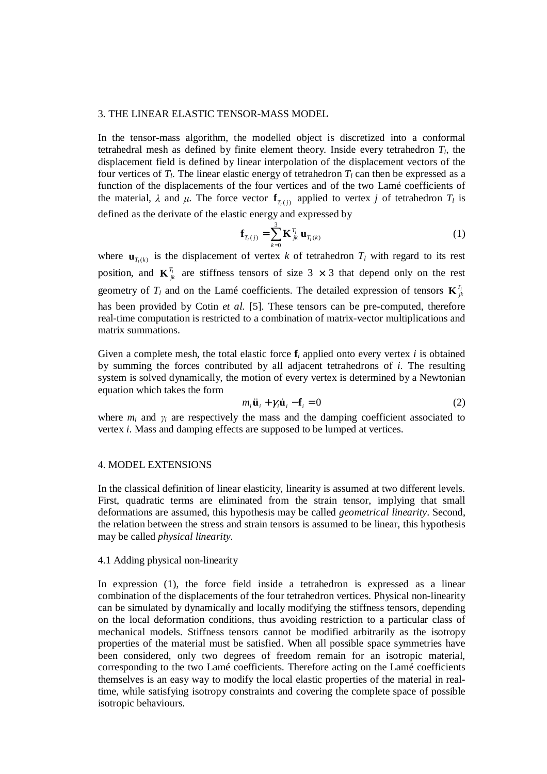#### 3. THE LINEAR ELASTIC TENSOR-MASS MODEL

In the tensor-mass algorithm, the modelled object is discretized into a conformal tetrahedral mesh as defined by finite element theory. Inside every tetrahedron *T<sup>l</sup>* , the displacement field is defined by linear interpolation of the displacement vectors of the four vertices of  $T_l$ . The linear elastic energy of tetrahedron  $T_l$  can then be expressed as a function of the displacements of the four vertices and of the two Lamé coefficients of the material,  $\lambda$  and  $\mu$ . The force vector  $f_{T_i(j)}$  applied to vertex *j* of tetrahedron  $T_i$  is defined as the derivate of the elastic energy and expressed by

$$
\mathbf{f}_{T_l(j)} = \sum_{k=0}^{3} \mathbf{K}_{jk}^{T_l} \mathbf{u}_{T_l(k)}
$$
(1)

where  $\mathbf{u}_{T_i(k)}$  is the displacement of vertex *k* of tetrahedron  $T_i$  with regard to its rest position, and  $\mathbf{K}_{jk}^{T_i}$  are stiffness tensors of size 3  $\times$  3 that depend only on the rest geometry of  $T_l$  and on the Lamé coefficients. The detailed expression of tensors  $\mathbf{K}_{jk}^{T_l}$ has been provided by Cotin *et al.* [5]. These tensors can be pre-computed, therefore real-time computation is restricted to a combination of matrix-vector multiplications and matrix summations.

Given a complete mesh, the total elastic force  $f_i$  applied onto every vertex *i* is obtained by summing the forces contributed by all adjacent tetrahedrons of *i*. The resulting system is solved dynamically, the motion of every vertex is determined by a Newtonian equation which takes the form

$$
m_i \ddot{\mathbf{u}}_i + \gamma_i \dot{\mathbf{u}}_i - \mathbf{f}_i = 0 \tag{2}
$$

where  $m_i$  and  $\gamma_i$  are respectively the mass and the damping coefficient associated to vertex *i*. Mass and damping effects are supposed to be lumped at vertices.

#### 4. MODEL EXTENSIONS

In the classical definition of linear elasticity, linearity is assumed at two different levels. First, quadratic terms are eliminated from the strain tensor, implying that small deformations are assumed, this hypothesis may be called *geometrical linearity*. Second, the relation between the stress and strain tensors is assumed to be linear, this hypothesis may be called *physical linearity*.

## 4.1 Adding physical non-linearity

In expression (1), the force field inside a tetrahedron is expressed as a linear combination of the displacements of the four tetrahedron vertices. Physical non-linearity can be simulated by dynamically and locally modifying the stiffness tensors, depending on the local deformation conditions, thus avoiding restriction to a particular class of mechanical models. Stiffness tensors cannot be modified arbitrarily as the isotropy properties of the material must be satisfied. When all possible space symmetries have been considered, only two degrees of freedom remain for an isotropic material, corresponding to the two Lamé coefficients. Therefore acting on the Lamé coefficients themselves is an easy way to modify the local elastic properties of the material in realtime, while satisfying isotropy constraints and covering the complete space of possible isotropic behaviours.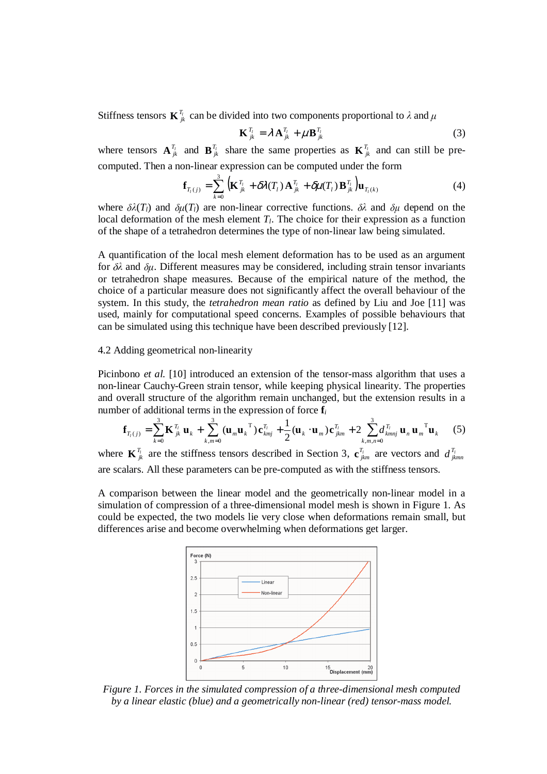Stiffness tensors  $\mathbf{K}_{jk}^{T_l}$  can be divided into two components proportional to  $\lambda$  and

$$
\mathbf{K}_{jk}^{T_l} = \lambda \mathbf{A}_{jk}^{T_l} + \mu \mathbf{B}_{jk}^{T_l}
$$
 (3)

where tensors  $\mathbf{A}_{jk}^{T_l}$  and  $\mathbf{B}_{jk}^{T_l}$  share the same properties as  $\mathbf{K}_{jk}^{T_l}$  and can still be precomputed. Then a non-linear expression can be computed under the form

$$
\mathbf{f}_{T_i(j)} = \sum_{k=0}^{3} \left( \mathbf{K}_{jk}^{T_i} + \delta \lambda(T_i) \mathbf{A}_{jk}^{T_i} + \delta \mu(T_i) \mathbf{B}_{jk}^{T_i} \right) \mathbf{u}_{T_i(k)}
$$
(4)

where  $\delta \lambda(T_l)$  and  $\delta \mu(T_l)$  are non-linear corrective functions.  $\delta \lambda$  and  $\delta \mu$  depend on the local deformation of the mesh element  $T_l$ . The choice for their expression as a function of the shape of a tetrahedron determines the type of non-linear law being simulated.

A quantification of the local mesh element deformation has to be used as an argument for  $\delta\lambda$  and  $\delta\mu$ . Different measures may be considered, including strain tensor invariants or tetrahedron shape measures. Because of the empirical nature of the method, the choice of a particular measure does not significantly affect the overall behaviour of the system. In this study, the *tetrahedron mean ratio* as defined by Liu and Joe [11] was used, mainly for computational speed concerns. Examples of possible behaviours that can be simulated using this technique have been described previously [12].

#### 4.2 Adding geometrical non-linearity

Picinbono *et al.* [10] introduced an extension of the tensor-mass algorithm that uses a non-linear Cauchy-Green strain tensor, while keeping physical linearity. The properties and overall structure of the algorithm remain unchanged, but the extension results in a number of additional terms in the expression of force **f***<sup>i</sup>*

$$
\mathbf{f}_{T_i(j)} = \sum_{k=0}^3 \mathbf{K}_{jk}^T \mathbf{u}_k + \sum_{k,m=0}^3 (\mathbf{u}_m \mathbf{u}_k^T) \mathbf{c}_{kmj}^T + \frac{1}{2} (\mathbf{u}_k \cdot \mathbf{u}_m) \mathbf{c}_{jkm}^T + 2 \sum_{k,m,n=0}^3 d_{kmnj}^T \mathbf{u}_n \mathbf{u}_m^T \mathbf{u}_k
$$
 (5)

where  $\mathbf{K}_{jk}^{T_l}$  are the stiffness tensors described in Section 3,  $\mathbf{c}_{jkm}^{T_l}$  are vectors and  $d_{jkmn}^{T_l}$ are scalars. All these parameters can be pre-computed as with the stiffness tensors.

A comparison between the linear model and the geometrically non-linear model in a simulation of compression of a three-dimensional model mesh is shown in Figure 1. As could be expected, the two models lie very close when deformations remain small, but differences arise and become overwhelming when deformations get larger.



*Figure 1. Forces in the simulated compression of a three-dimensional mesh computed by a linear elastic (blue) and a geometrically non-linear (red) tensor-mass model.*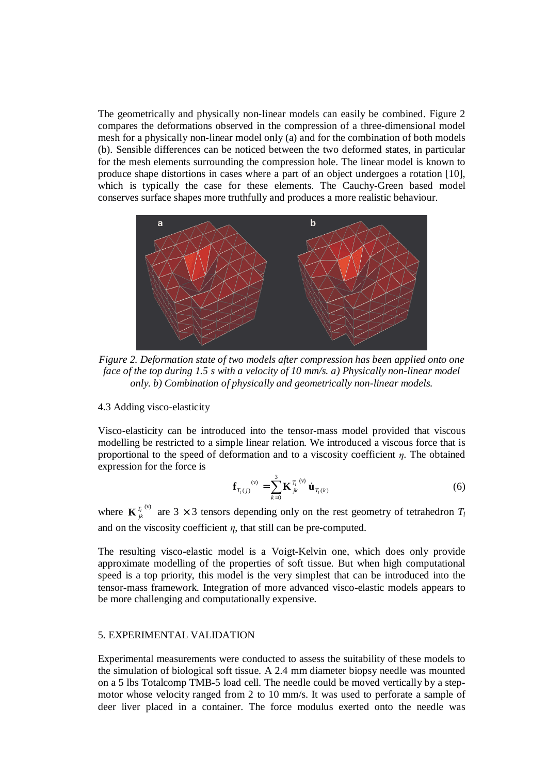The geometrically and physically non-linear models can easily be combined. Figure 2 compares the deformations observed in the compression of a three-dimensional model mesh for a physically non-linear model only (a) and for the combination of both models (b). Sensible differences can be noticed between the two deformed states, in particular for the mesh elements surrounding the compression hole. The linear model is known to produce shape distortions in cases where a part of an object undergoes a rotation [10], which is typically the case for these elements. The Cauchy-Green based model conserves surface shapes more truthfully and produces a more realistic behaviour.



*Figure 2. Deformation state of two models after compression has been applied onto one face of the top during 1.5 s with a velocity of 10 mm/s. a) Physically non-linear model only. b) Combination of physically and geometrically non-linear models.* 

# 4.3 Adding visco-elasticity

Visco-elasticity can be introduced into the tensor-mass model provided that viscous modelling be restricted to a simple linear relation. We introduced a viscous force that is proportional to the speed of deformation and to a viscosity coefficient  $\eta$ . The obtained expression for the force is

$$
\mathbf{f}_{T_i(j)}^{(v)} = \sum_{k=0}^{3} \mathbf{K}_{jk}^{T_i^{(v)}} \dot{\mathbf{u}}_{T_i(k)}
$$
(6)

where  $\mathbf{K}_{ik}^{T_l}$ <sup>(v)</sup> are 3 × 3 tensors depending only on the rest geometry of tetrahedron  $T_l$ and on the viscosity coefficient  $\eta$ , that still can be pre-computed.

The resulting visco-elastic model is a Voigt-Kelvin one, which does only provide approximate modelling of the properties of soft tissue. But when high computational speed is a top priority, this model is the very simplest that can be introduced into the tensor-mass framework. Integration of more advanced visco-elastic models appears to be more challenging and computationally expensive.

#### 5. EXPERIMENTAL VALIDATION

Experimental measurements were conducted to assess the suitability of these models to the simulation of biological soft tissue. A 2.4 mm diameter biopsy needle was mounted on a 5 lbs Totalcomp TMB-5 load cell. The needle could be moved vertically by a stepmotor whose velocity ranged from 2 to 10 mm/s. It was used to perforate a sample of deer liver placed in a container. The force modulus exerted onto the needle was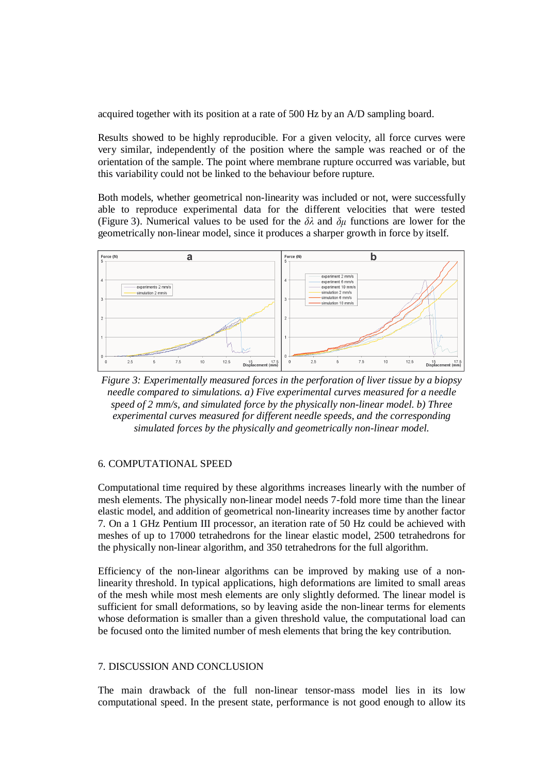acquired together with its position at a rate of 500 Hz by an A/D sampling board.

Results showed to be highly reproducible. For a given velocity, all force curves were very similar, independently of the position where the sample was reached or of the orientation of the sample. The point where membrane rupture occurred was variable, but this variability could not be linked to the behaviour before rupture.

Both models, whether geometrical non-linearity was included or not, were successfully able to reproduce experimental data for the different velocities that were tested (Figure 3). Numerical values to be used for the  $\delta \lambda$  and  $\delta \mu$  functions are lower for the geometrically non-linear model, since it produces a sharper growth in force by itself.



*Figure 3: Experimentally measured forces in the perforation of liver tissue by a biopsy needle compared to simulations. a) Five experimental curves measured for a needle speed of 2 mm/s, and simulated force by the physically non-linear model. b) Three experimental curves measured for different needle speeds, and the corresponding simulated forces by the physically and geometrically non-linear model.* 

## 6. COMPUTATIONAL SPEED

Computational time required by these algorithms increases linearly with the number of mesh elements. The physically non-linear model needs 7-fold more time than the linear elastic model, and addition of geometrical non-linearity increases time by another factor 7. On a 1 GHz Pentium III processor, an iteration rate of 50 Hz could be achieved with meshes of up to 17000 tetrahedrons for the linear elastic model, 2500 tetrahedrons for the physically non-linear algorithm, and 350 tetrahedrons for the full algorithm.

Efficiency of the non-linear algorithms can be improved by making use of a nonlinearity threshold. In typical applications, high deformations are limited to small areas of the mesh while most mesh elements are only slightly deformed. The linear model is sufficient for small deformations, so by leaving aside the non-linear terms for elements whose deformation is smaller than a given threshold value, the computational load can be focused onto the limited number of mesh elements that bring the key contribution.

## 7. DISCUSSION AND CONCLUSION

The main drawback of the full non-linear tensor-mass model lies in its low computational speed. In the present state, performance is not good enough to allow its